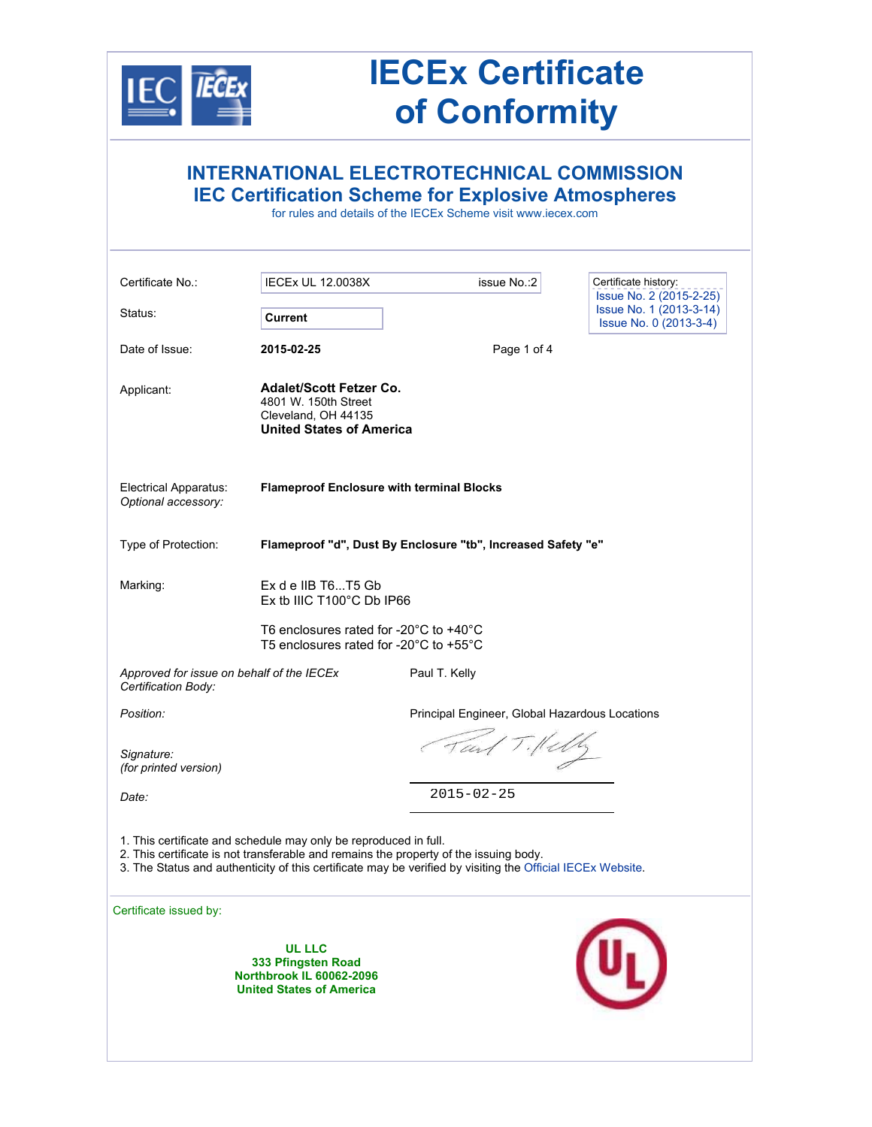

# **IECEx Certificate of Conformity**

| <b>INTERNATIONAL ELECTROTECHNICAL COMMISSION</b><br><b>IEC Certification Scheme for Explosive Atmospheres</b><br>for rules and details of the IECEx Scheme visit www.iecex.com                                                                                          |                                                                                                                  |                                                |                                                                              |  |
|-------------------------------------------------------------------------------------------------------------------------------------------------------------------------------------------------------------------------------------------------------------------------|------------------------------------------------------------------------------------------------------------------|------------------------------------------------|------------------------------------------------------------------------------|--|
| Certificate No.:                                                                                                                                                                                                                                                        | <b>IECEx UL 12.0038X</b>                                                                                         | issue No.: 2                                   | Certificate history:                                                         |  |
| Status:                                                                                                                                                                                                                                                                 | <b>Current</b>                                                                                                   |                                                | Issue No. 2 (2015-2-25)<br>Issue No. 1 (2013-3-14)<br>Issue No. 0 (2013-3-4) |  |
| Date of Issue:                                                                                                                                                                                                                                                          | 2015-02-25                                                                                                       | Page 1 of 4                                    |                                                                              |  |
| Applicant:                                                                                                                                                                                                                                                              | <b>Adalet/Scott Fetzer Co.</b><br>4801 W. 150th Street<br>Cleveland, OH 44135<br><b>United States of America</b> |                                                |                                                                              |  |
| Electrical Apparatus:<br>Optional accessory:                                                                                                                                                                                                                            | <b>Flameproof Enclosure with terminal Blocks</b>                                                                 |                                                |                                                                              |  |
| Type of Protection:                                                                                                                                                                                                                                                     | Flameproof "d", Dust By Enclosure "tb", Increased Safety "e"                                                     |                                                |                                                                              |  |
| Marking:                                                                                                                                                                                                                                                                | Ex d e IIB T6T5 Gb<br>Ex tb IIIC T100°C Db IP66                                                                  |                                                |                                                                              |  |
|                                                                                                                                                                                                                                                                         | T6 enclosures rated for -20 $^{\circ}$ C to +40 $^{\circ}$ C<br>T5 enclosures rated for -20°C to +55°C           |                                                |                                                                              |  |
| Approved for issue on behalf of the IECEx<br>Certification Body:                                                                                                                                                                                                        |                                                                                                                  | Paul T. Kelly                                  |                                                                              |  |
| Position:                                                                                                                                                                                                                                                               |                                                                                                                  | Principal Engineer, Global Hazardous Locations |                                                                              |  |
| Signature:<br>(for printed version)                                                                                                                                                                                                                                     |                                                                                                                  | Tail Tillelly                                  |                                                                              |  |
| Date:                                                                                                                                                                                                                                                                   |                                                                                                                  | $2015 - 02 - 25$                               |                                                                              |  |
| 1. This certificate and schedule may only be reproduced in full.<br>2. This certificate is not transferable and remains the property of the issuing body.<br>3. The Status and authenticity of this certificate may be verified by visiting the Official IECEx Website. |                                                                                                                  |                                                |                                                                              |  |
| Certificate issued by:                                                                                                                                                                                                                                                  |                                                                                                                  |                                                |                                                                              |  |
|                                                                                                                                                                                                                                                                         | <b>UL LLC</b><br>333 Pfingsten Road<br><b>Northbrook IL 60062-2096</b><br><b>United States of America</b>        |                                                |                                                                              |  |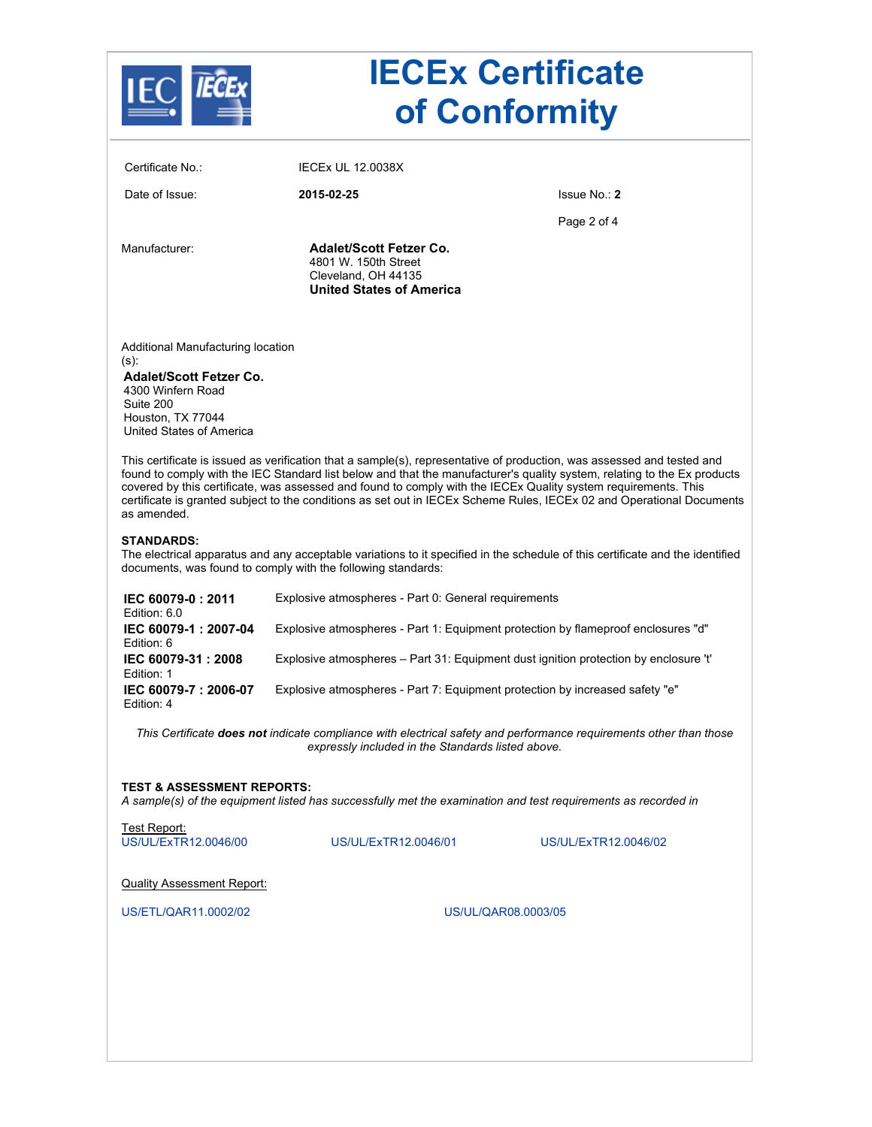|                                                                                                                                                                | <b>IECEx Certificate</b><br>of Conformity                                                                        |                                                                                                                                                                                                                                                                                                                                                                                                                                                                                                              |  |
|----------------------------------------------------------------------------------------------------------------------------------------------------------------|------------------------------------------------------------------------------------------------------------------|--------------------------------------------------------------------------------------------------------------------------------------------------------------------------------------------------------------------------------------------------------------------------------------------------------------------------------------------------------------------------------------------------------------------------------------------------------------------------------------------------------------|--|
| Certificate No.:                                                                                                                                               | <b>IECEX UL 12.0038X</b>                                                                                         |                                                                                                                                                                                                                                                                                                                                                                                                                                                                                                              |  |
| Date of Issue:                                                                                                                                                 | 2015-02-25                                                                                                       | Issue No.: 2                                                                                                                                                                                                                                                                                                                                                                                                                                                                                                 |  |
|                                                                                                                                                                |                                                                                                                  | Page 2 of 4                                                                                                                                                                                                                                                                                                                                                                                                                                                                                                  |  |
| Manufacturer:                                                                                                                                                  | <b>Adalet/Scott Fetzer Co.</b><br>4801 W. 150th Street<br>Cleveland, OH 44135<br><b>United States of America</b> |                                                                                                                                                                                                                                                                                                                                                                                                                                                                                                              |  |
| Additional Manufacturing location<br>(s):<br><b>Adalet/Scott Fetzer Co.</b><br>4300 Winfern Road<br>Suite 200<br>Houston. TX 77044<br>United States of America |                                                                                                                  |                                                                                                                                                                                                                                                                                                                                                                                                                                                                                                              |  |
| as amended.<br><b>STANDARDS:</b>                                                                                                                               | covered by this certificate, was assessed and found to comply with the IECEx Quality system requirements. This   | This certificate is issued as verification that a sample(s), representative of production, was assessed and tested and<br>found to comply with the IEC Standard list below and that the manufacturer's quality system, relating to the Ex products<br>certificate is granted subject to the conditions as set out in IECEx Scheme Rules, IECEx 02 and Operational Documents<br>The electrical apparatus and any acceptable variations to it specified in the schedule of this certificate and the identified |  |
|                                                                                                                                                                | documents, was found to comply with the following standards:                                                     |                                                                                                                                                                                                                                                                                                                                                                                                                                                                                                              |  |
| IEC 60079-0: 2011<br>Edition: 6.0                                                                                                                              | Explosive atmospheres - Part 0: General requirements                                                             |                                                                                                                                                                                                                                                                                                                                                                                                                                                                                                              |  |
| IEC 60079-1: 2007-04<br>Edition: 6                                                                                                                             | Explosive atmospheres - Part 1: Equipment protection by flameproof enclosures "d"                                |                                                                                                                                                                                                                                                                                                                                                                                                                                                                                                              |  |
| IEC 60079-31 : 2008<br>Edition: 1                                                                                                                              | Explosive atmospheres - Part 31: Equipment dust ignition protection by enclosure 't'                             |                                                                                                                                                                                                                                                                                                                                                                                                                                                                                                              |  |
| IEC 60079-7: 2006-07<br>Edition: 4                                                                                                                             | Explosive atmospheres - Part 7: Equipment protection by increased safety "e"                                     |                                                                                                                                                                                                                                                                                                                                                                                                                                                                                                              |  |
|                                                                                                                                                                | expressly included in the Standards listed above.                                                                | This Certificate does not indicate compliance with electrical safety and performance requirements other than those                                                                                                                                                                                                                                                                                                                                                                                           |  |
| <b>TEST &amp; ASSESSMENT REPORTS:</b>                                                                                                                          | A sample(s) of the equipment listed has successfully met the examination and test requirements as recorded in    |                                                                                                                                                                                                                                                                                                                                                                                                                                                                                                              |  |
| Test Report:<br>US/UL/ExTR12.0046/00                                                                                                                           | US/UL/ExTR12.0046/01                                                                                             | US/UL/ExTR12.0046/02                                                                                                                                                                                                                                                                                                                                                                                                                                                                                         |  |
| <b>Quality Assessment Report:</b>                                                                                                                              |                                                                                                                  |                                                                                                                                                                                                                                                                                                                                                                                                                                                                                                              |  |
| US/ETL/QAR11.0002/02                                                                                                                                           |                                                                                                                  | US/UL/QAR08.0003/05                                                                                                                                                                                                                                                                                                                                                                                                                                                                                          |  |
|                                                                                                                                                                |                                                                                                                  |                                                                                                                                                                                                                                                                                                                                                                                                                                                                                                              |  |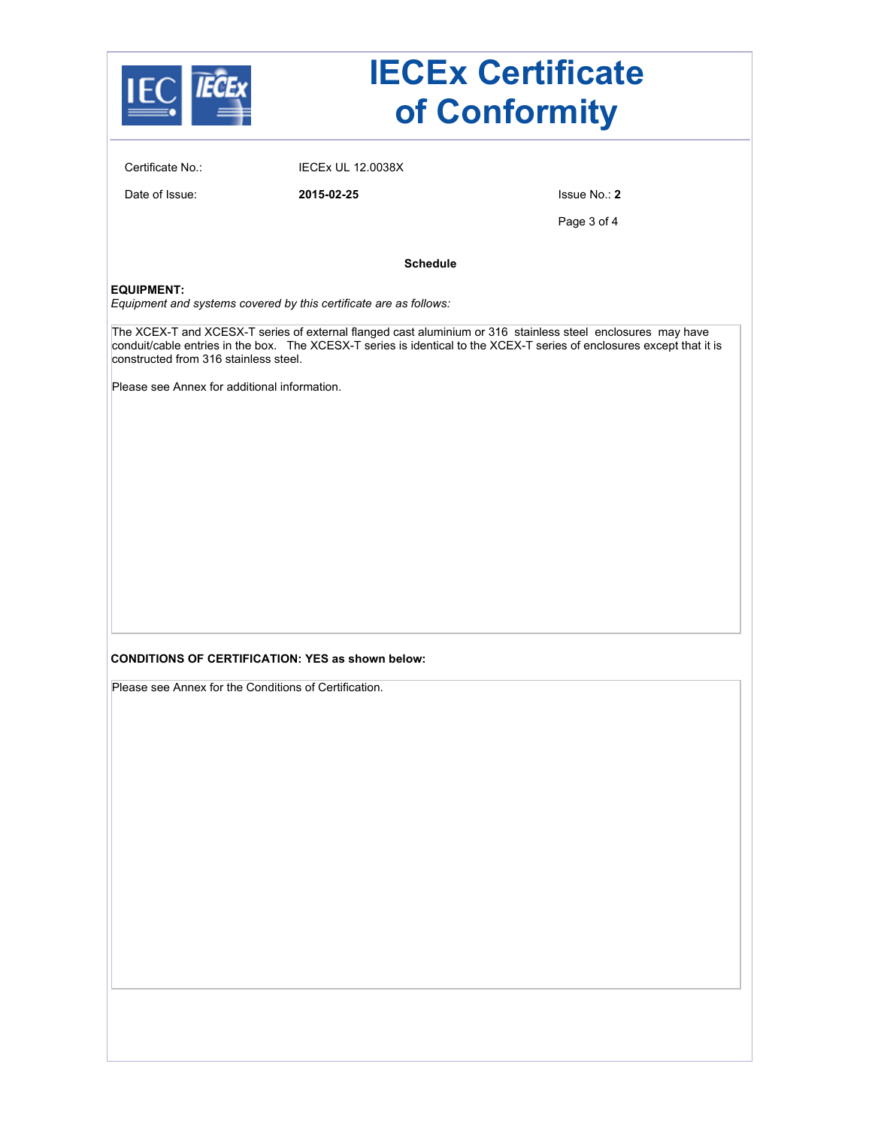|                                                                                       |                                                                   | <b>IECEx Certificate</b><br>of Conformity                                                                                                                                                                                             |
|---------------------------------------------------------------------------------------|-------------------------------------------------------------------|---------------------------------------------------------------------------------------------------------------------------------------------------------------------------------------------------------------------------------------|
| Certificate No.:                                                                      | <b>IECEx UL 12.0038X</b>                                          |                                                                                                                                                                                                                                       |
| Date of Issue:                                                                        | 2015-02-25                                                        | Issue No.: 2                                                                                                                                                                                                                          |
|                                                                                       |                                                                   | Page 3 of 4                                                                                                                                                                                                                           |
|                                                                                       | <b>Schedule</b>                                                   |                                                                                                                                                                                                                                       |
| <b>EQUIPMENT:</b>                                                                     | Equipment and systems covered by this certificate are as follows: |                                                                                                                                                                                                                                       |
| constructed from 316 stainless steel.<br>Please see Annex for additional information. |                                                                   | The XCEX-T and XCESX-T series of external flanged cast aluminium or 316 stainless steel enclosures may have<br>conduit/cable entries in the box. The XCESX-T series is identical to the XCEX-T series of enclosures except that it is |
| Please see Annex for the Conditions of Certification.                                 | <b>CONDITIONS OF CERTIFICATION: YES as shown below:</b>           |                                                                                                                                                                                                                                       |
|                                                                                       |                                                                   |                                                                                                                                                                                                                                       |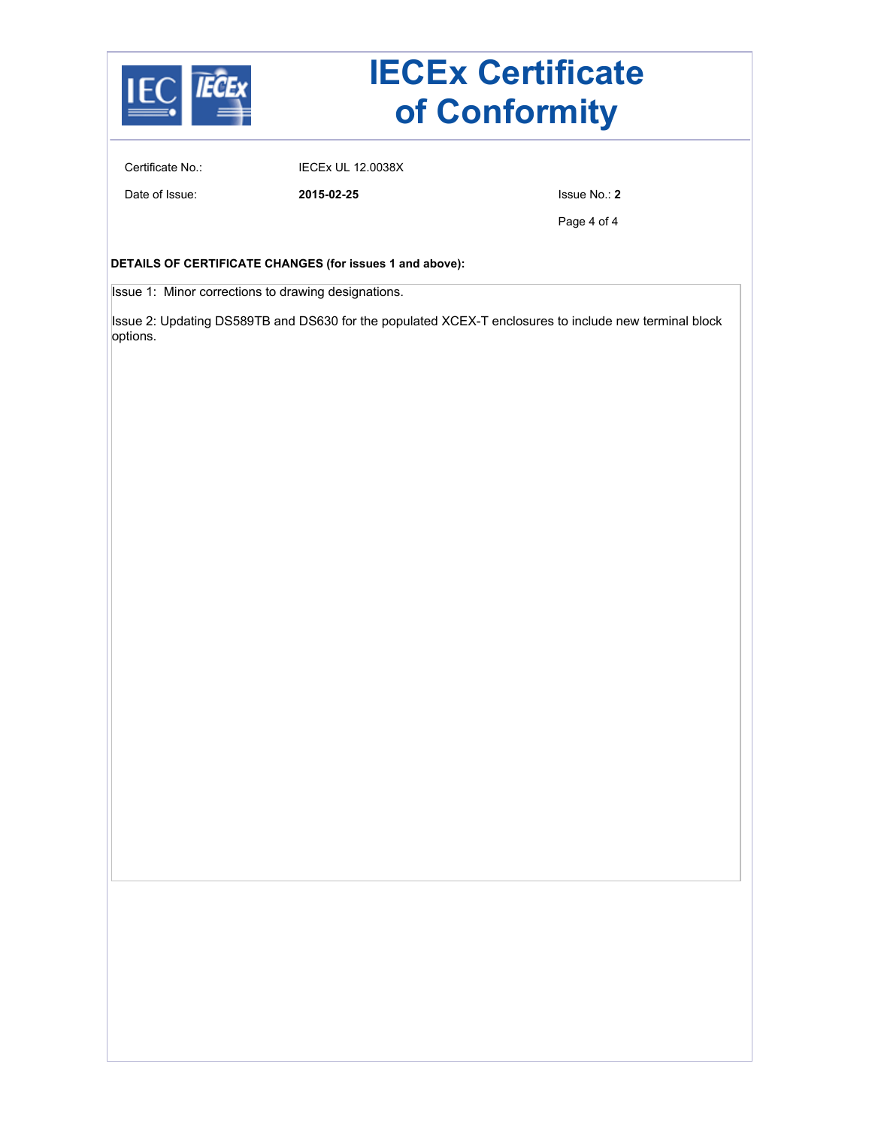

## **IECEx Certificate of Conformity**

Certificate No.: IECEx UL 12.0038X

Date of Issue: **2015-02-25** Issue No.: **2**

Page 4 of 4

### **DETAILS OF CERTIFICATE CHANGES (for issues 1 and above):**

Issue 1: Minor corrections to drawing designations.

Issue 2: Updating DS589TB and DS630 for the populated XCEX-T enclosures to include new terminal block options.